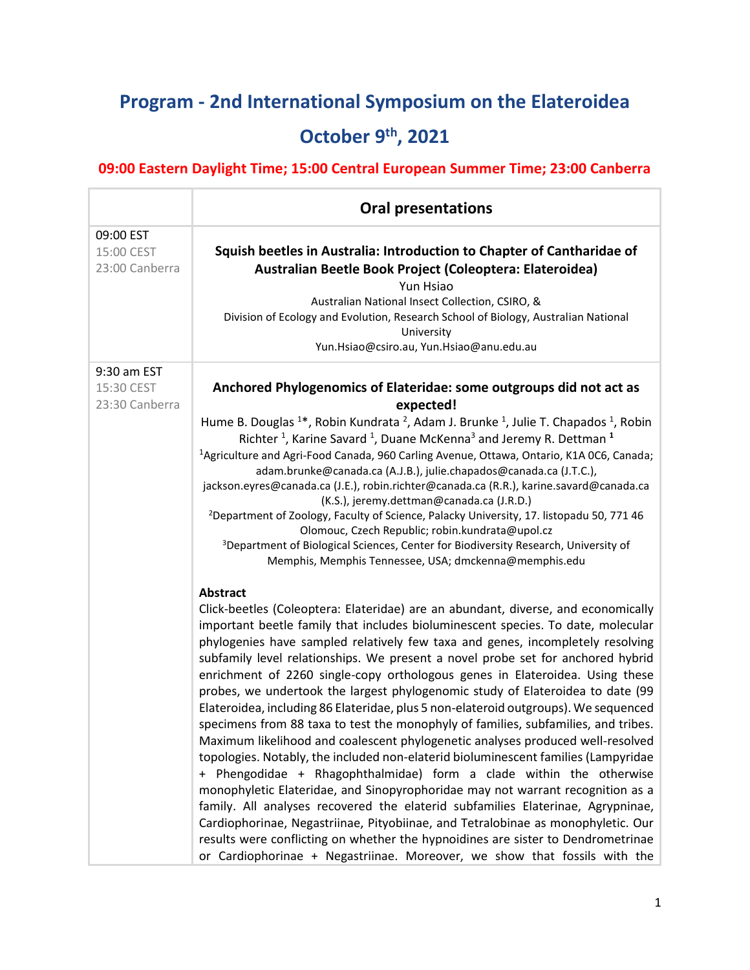## **Program - 2nd International Symposium on the Elateroidea October 9th, 2021**

## **09:00 Eastern Daylight Time; 15:00 Central European Summer Time; 23:00 Canberra**

|                                             | <b>Oral presentations</b>                                                                                                                                                                                                                                                                                                                                                                                                                                                                                                                                                                                                                                                                                                                                                                                                                                                                                                                                                                                                                                                                                                                                                                                                                                                                                                                                          |
|---------------------------------------------|--------------------------------------------------------------------------------------------------------------------------------------------------------------------------------------------------------------------------------------------------------------------------------------------------------------------------------------------------------------------------------------------------------------------------------------------------------------------------------------------------------------------------------------------------------------------------------------------------------------------------------------------------------------------------------------------------------------------------------------------------------------------------------------------------------------------------------------------------------------------------------------------------------------------------------------------------------------------------------------------------------------------------------------------------------------------------------------------------------------------------------------------------------------------------------------------------------------------------------------------------------------------------------------------------------------------------------------------------------------------|
| 09:00 EST<br>15:00 CEST<br>23:00 Canberra   | Squish beetles in Australia: Introduction to Chapter of Cantharidae of<br>Australian Beetle Book Project (Coleoptera: Elateroidea)<br>Yun Hsiao<br>Australian National Insect Collection, CSIRO, &<br>Division of Ecology and Evolution, Research School of Biology, Australian National<br>University<br>Yun.Hsiao@csiro.au, Yun.Hsiao@anu.edu.au                                                                                                                                                                                                                                                                                                                                                                                                                                                                                                                                                                                                                                                                                                                                                                                                                                                                                                                                                                                                                 |
| 9:30 am EST<br>15:30 CEST<br>23:30 Canberra | Anchored Phylogenomics of Elateridae: some outgroups did not act as<br>expected!<br>Hume B. Douglas <sup>1*</sup> , Robin Kundrata <sup>2</sup> , Adam J. Brunke <sup>1</sup> , Julie T. Chapados <sup>1</sup> , Robin<br>Richter <sup>1</sup> , Karine Savard <sup>1</sup> , Duane McKenna <sup>3</sup> and Jeremy R. Dettman <sup>1</sup><br><sup>1</sup> Agriculture and Agri-Food Canada, 960 Carling Avenue, Ottawa, Ontario, K1A 0C6, Canada;<br>adam.brunke@canada.ca (A.J.B.), julie.chapados@canada.ca (J.T.C.),<br>jackson.eyres@canada.ca (J.E.), robin.richter@canada.ca (R.R.), karine.savard@canada.ca<br>(K.S.), jeremy.dettman@canada.ca (J.R.D.)<br><sup>2</sup> Department of Zoology, Faculty of Science, Palacky University, 17. listopadu 50, 771 46<br>Olomouc, Czech Republic; robin.kundrata@upol.cz<br><sup>3</sup> Department of Biological Sciences, Center for Biodiversity Research, University of<br>Memphis, Memphis Tennessee, USA; dmckenna@memphis.edu<br><b>Abstract</b>                                                                                                                                                                                                                                                                                                                                                        |
|                                             | Click-beetles (Coleoptera: Elateridae) are an abundant, diverse, and economically<br>important beetle family that includes bioluminescent species. To date, molecular<br>phylogenies have sampled relatively few taxa and genes, incompletely resolving<br>subfamily level relationships. We present a novel probe set for anchored hybrid<br>enrichment of 2260 single-copy orthologous genes in Elateroidea. Using these<br>probes, we undertook the largest phylogenomic study of Elateroidea to date (99<br>Elateroidea, including 86 Elateridae, plus 5 non-elateroid outgroups). We sequenced<br>specimens from 88 taxa to test the monophyly of families, subfamilies, and tribes.<br>Maximum likelihood and coalescent phylogenetic analyses produced well-resolved<br>topologies. Notably, the included non-elaterid bioluminescent families (Lampyridae<br>+ Phengodidae + Rhagophthalmidae) form a clade within the otherwise<br>monophyletic Elateridae, and Sinopyrophoridae may not warrant recognition as a<br>family. All analyses recovered the elaterid subfamilies Elaterinae, Agrypninae,<br>Cardiophorinae, Negastriinae, Pityobiinae, and Tetralobinae as monophyletic. Our<br>results were conflicting on whether the hypnoidines are sister to Dendrometrinae<br>or Cardiophorinae + Negastriinae. Moreover, we show that fossils with the |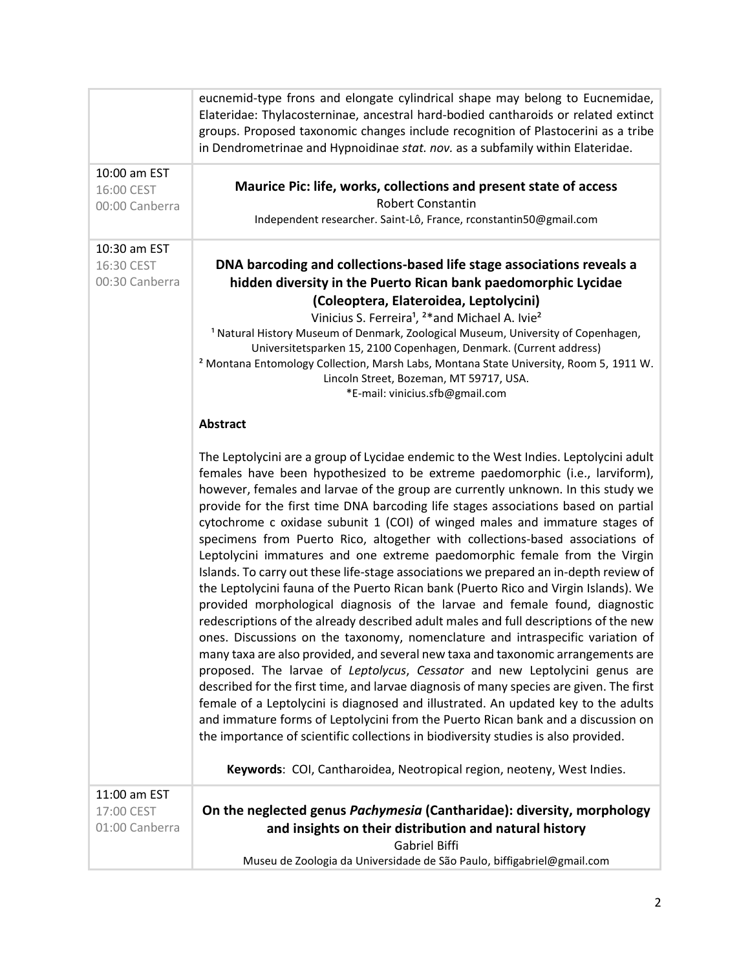|                                              | eucnemid-type frons and elongate cylindrical shape may belong to Eucnemidae,<br>Elateridae: Thylacosterninae, ancestral hard-bodied cantharoids or related extinct<br>groups. Proposed taxonomic changes include recognition of Plastocerini as a tribe<br>in Dendrometrinae and Hypnoidinae stat. nov. as a subfamily within Elateridae.                                                                                                                                                                                                                                                                                                                                                                                                                                                                                                                                                                                                                                                                                                                                                                                                                                                                                                                                                                                                                                                                                                                                                                                                                                                                                                   |
|----------------------------------------------|---------------------------------------------------------------------------------------------------------------------------------------------------------------------------------------------------------------------------------------------------------------------------------------------------------------------------------------------------------------------------------------------------------------------------------------------------------------------------------------------------------------------------------------------------------------------------------------------------------------------------------------------------------------------------------------------------------------------------------------------------------------------------------------------------------------------------------------------------------------------------------------------------------------------------------------------------------------------------------------------------------------------------------------------------------------------------------------------------------------------------------------------------------------------------------------------------------------------------------------------------------------------------------------------------------------------------------------------------------------------------------------------------------------------------------------------------------------------------------------------------------------------------------------------------------------------------------------------------------------------------------------------|
| 10:00 am EST<br>16:00 CEST<br>00:00 Canberra | Maurice Pic: life, works, collections and present state of access<br><b>Robert Constantin</b><br>Independent researcher. Saint-Lô, France, rconstantin50@gmail.com                                                                                                                                                                                                                                                                                                                                                                                                                                                                                                                                                                                                                                                                                                                                                                                                                                                                                                                                                                                                                                                                                                                                                                                                                                                                                                                                                                                                                                                                          |
| 10:30 am EST<br>16:30 CEST<br>00:30 Canberra | DNA barcoding and collections-based life stage associations reveals a<br>hidden diversity in the Puerto Rican bank paedomorphic Lycidae<br>(Coleoptera, Elateroidea, Leptolycini)<br>Vinicius S. Ferreira <sup>1</sup> , <sup>2*</sup> and Michael A. Ivie <sup>2</sup><br><sup>1</sup> Natural History Museum of Denmark, Zoological Museum, University of Copenhagen,<br>Universitetsparken 15, 2100 Copenhagen, Denmark. (Current address)<br><sup>2</sup> Montana Entomology Collection, Marsh Labs, Montana State University, Room 5, 1911 W.<br>Lincoln Street, Bozeman, MT 59717, USA.<br>*E-mail: vinicius.sfb@gmail.com<br><b>Abstract</b>                                                                                                                                                                                                                                                                                                                                                                                                                                                                                                                                                                                                                                                                                                                                                                                                                                                                                                                                                                                         |
|                                              | The Leptolycini are a group of Lycidae endemic to the West Indies. Leptolycini adult<br>females have been hypothesized to be extreme paedomorphic (i.e., larviform),<br>however, females and larvae of the group are currently unknown. In this study we<br>provide for the first time DNA barcoding life stages associations based on partial<br>cytochrome c oxidase subunit 1 (COI) of winged males and immature stages of<br>specimens from Puerto Rico, altogether with collections-based associations of<br>Leptolycini immatures and one extreme paedomorphic female from the Virgin<br>Islands. To carry out these life-stage associations we prepared an in-depth review of<br>the Leptolycini fauna of the Puerto Rican bank (Puerto Rico and Virgin Islands). We<br>provided morphological diagnosis of the larvae and female found, diagnostic<br>redescriptions of the already described adult males and full descriptions of the new<br>ones. Discussions on the taxonomy, nomenclature and intraspecific variation of<br>many taxa are also provided, and several new taxa and taxonomic arrangements are<br>proposed. The larvae of Leptolycus, Cessator and new Leptolycini genus are<br>described for the first time, and larvae diagnosis of many species are given. The first<br>female of a Leptolycini is diagnosed and illustrated. An updated key to the adults<br>and immature forms of Leptolycini from the Puerto Rican bank and a discussion on<br>the importance of scientific collections in biodiversity studies is also provided.<br>Keywords: COI, Cantharoidea, Neotropical region, neoteny, West Indies. |
| 11:00 am EST<br>17:00 CEST<br>01:00 Canberra | On the neglected genus Pachymesia (Cantharidae): diversity, morphology<br>and insights on their distribution and natural history<br>Gabriel Biffi<br>Museu de Zoologia da Universidade de São Paulo, biffigabriel@gmail.com                                                                                                                                                                                                                                                                                                                                                                                                                                                                                                                                                                                                                                                                                                                                                                                                                                                                                                                                                                                                                                                                                                                                                                                                                                                                                                                                                                                                                 |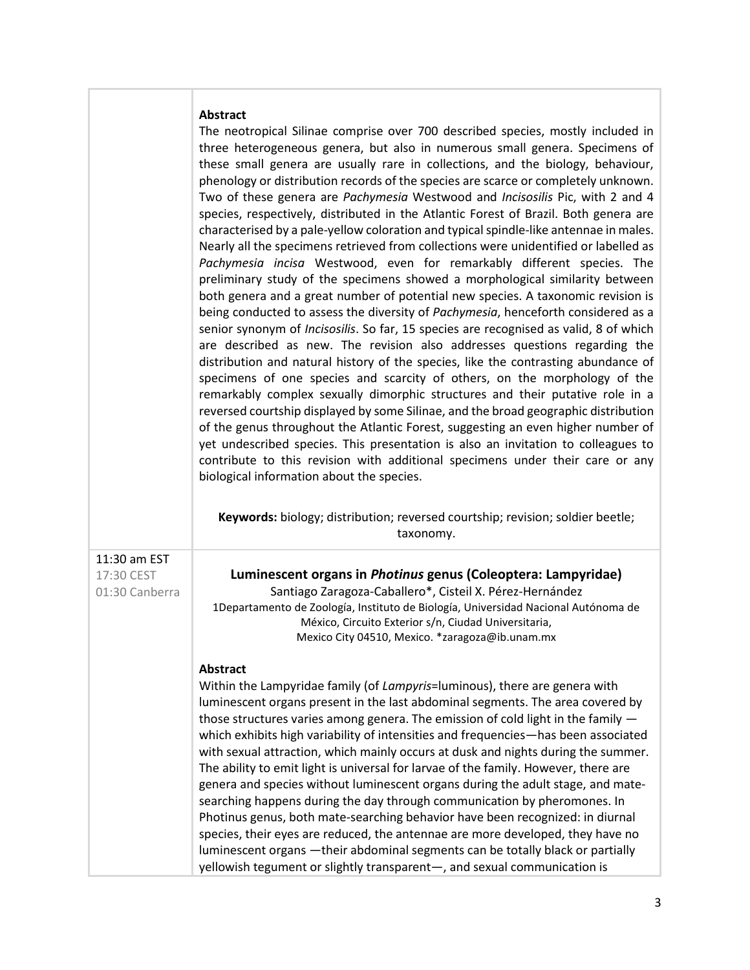## **Abstract**

**Keywords:** biology; distribution; reversed courtship; revision; soldier beetle; taxonomy.

11:30 am EST 17:30 CEST

01:30 Canberra

**Luminescent organs in** *Photinus* **genus (Coleoptera: Lampyridae)** Santiago Zaragoza-Caballero\*, Cisteil X. Pérez-Hernández 1Departamento de Zoología, Instituto de Biología, Universidad Nacional Autónoma de México, Circuito Exterior s/n, Ciudad Universitaria, Mexico City 04510, Mexico. \*zaragoza@ib.unam.mx

## **Abstract**

Within the Lampyridae family (of *Lampyris*=luminous), there are genera with luminescent organs present in the last abdominal segments. The area covered by those structures varies among genera. The emission of cold light in the family which exhibits high variability of intensities and frequencies—has been associated with sexual attraction, which mainly occurs at dusk and nights during the summer. The ability to emit light is universal for larvae of the family. However, there are genera and species without luminescent organs during the adult stage, and matesearching happens during the day through communication by pheromones. In Photinus genus, both mate-searching behavior have been recognized: in diurnal species, their eyes are reduced, the antennae are more developed, they have no luminescent organs —their abdominal segments can be totally black or partially yellowish tegument or slightly transparent—, and sexual communication is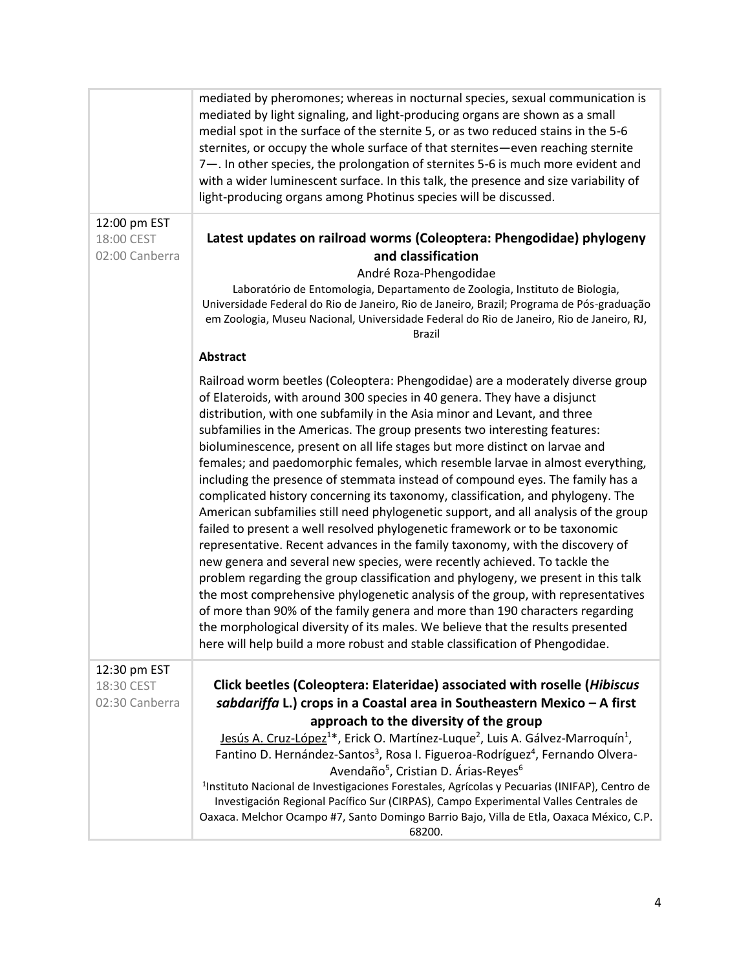|                                              | mediated by pheromones; whereas in nocturnal species, sexual communication is<br>mediated by light signaling, and light-producing organs are shown as a small<br>medial spot in the surface of the sternite 5, or as two reduced stains in the 5-6<br>sternites, or occupy the whole surface of that sternites-even reaching sternite<br>7-. In other species, the prolongation of sternites 5-6 is much more evident and<br>with a wider luminescent surface. In this talk, the presence and size variability of<br>light-producing organs among Photinus species will be discussed.                                                                                                                                                                                                                                                                                                                                                                                                                                                                                                                                                                                                                                                                                                                                                                                                                                                       |
|----------------------------------------------|---------------------------------------------------------------------------------------------------------------------------------------------------------------------------------------------------------------------------------------------------------------------------------------------------------------------------------------------------------------------------------------------------------------------------------------------------------------------------------------------------------------------------------------------------------------------------------------------------------------------------------------------------------------------------------------------------------------------------------------------------------------------------------------------------------------------------------------------------------------------------------------------------------------------------------------------------------------------------------------------------------------------------------------------------------------------------------------------------------------------------------------------------------------------------------------------------------------------------------------------------------------------------------------------------------------------------------------------------------------------------------------------------------------------------------------------|
| 12:00 pm EST<br>18:00 CEST<br>02:00 Canberra | Latest updates on railroad worms (Coleoptera: Phengodidae) phylogeny<br>and classification<br>André Roza-Phengodidae<br>Laboratório de Entomologia, Departamento de Zoologia, Instituto de Biologia,<br>Universidade Federal do Rio de Janeiro, Rio de Janeiro, Brazil; Programa de Pós-graduação<br>em Zoologia, Museu Nacional, Universidade Federal do Rio de Janeiro, Rio de Janeiro, RJ,<br><b>Brazil</b>                                                                                                                                                                                                                                                                                                                                                                                                                                                                                                                                                                                                                                                                                                                                                                                                                                                                                                                                                                                                                              |
|                                              | <b>Abstract</b><br>Railroad worm beetles (Coleoptera: Phengodidae) are a moderately diverse group<br>of Elateroids, with around 300 species in 40 genera. They have a disjunct<br>distribution, with one subfamily in the Asia minor and Levant, and three<br>subfamilies in the Americas. The group presents two interesting features:<br>bioluminescence, present on all life stages but more distinct on larvae and<br>females; and paedomorphic females, which resemble larvae in almost everything,<br>including the presence of stemmata instead of compound eyes. The family has a<br>complicated history concerning its taxonomy, classification, and phylogeny. The<br>American subfamilies still need phylogenetic support, and all analysis of the group<br>failed to present a well resolved phylogenetic framework or to be taxonomic<br>representative. Recent advances in the family taxonomy, with the discovery of<br>new genera and several new species, were recently achieved. To tackle the<br>problem regarding the group classification and phylogeny, we present in this talk<br>the most comprehensive phylogenetic analysis of the group, with representatives<br>of more than 90% of the family genera and more than 190 characters regarding<br>the morphological diversity of its males. We believe that the results presented<br>here will help build a more robust and stable classification of Phengodidae. |
| 12:30 pm EST<br>18:30 CEST<br>02:30 Canberra | Click beetles (Coleoptera: Elateridae) associated with roselle (Hibiscus<br>sabdariffa L.) crops in a Coastal area in Southeastern Mexico - A first<br>approach to the diversity of the group<br>Jesús A. Cruz-López <sup>1*</sup> , Erick O. Martínez-Luque <sup>2</sup> , Luis A. Gálvez-Marroquín <sup>1</sup> ,<br>Fantino D. Hernández-Santos <sup>3</sup> , Rosa I. Figueroa-Rodríguez <sup>4</sup> , Fernando Olvera-<br>Avendaño <sup>5</sup> , Cristian D. Árias-Reyes <sup>6</sup><br><sup>1</sup> Instituto Nacional de Investigaciones Forestales, Agrícolas y Pecuarias (INIFAP), Centro de<br>Investigación Regional Pacífico Sur (CIRPAS), Campo Experimental Valles Centrales de<br>Oaxaca. Melchor Ocampo #7, Santo Domingo Barrio Bajo, Villa de Etla, Oaxaca México, C.P.<br>68200.                                                                                                                                                                                                                                                                                                                                                                                                                                                                                                                                                                                                                                      |